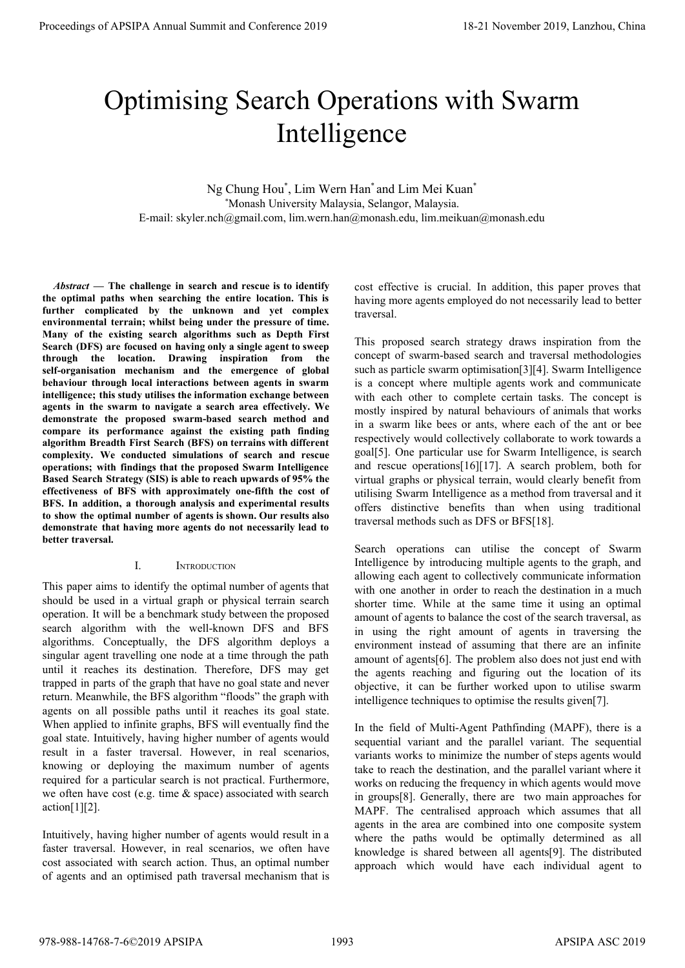# Optimising Search Operations with Swarm Intelligence

Ng Chung Hou\* , Lim Wern Han\* and Lim Mei Kuan\* \*Monash University Malaysia, Selangor, Malaysia. E-mail: skyler.nch@gmail.com, lim.wern.han@monash.edu, lim.meikuan@monash.edu

*Abstract* **— The challenge in search and rescue is to identify the optimal paths when searching the entire location. This is further complicated by the unknown and yet complex environmental terrain; whilst being under the pressure of time. Many of the existing search algorithms such as Depth First Search (DFS) are focused on having only a single agent to sweep through the location. Drawing inspiration from the self-organisation mechanism and the emergence of global behaviour through local interactions between agents in swarm intelligence; this study utilises the information exchange between agents in the swarm to navigate a search area effectively. We demonstrate the proposed swarm-based search method and compare its performance against the existing path finding algorithm Breadth First Search (BFS) on terrains with different complexity. We conducted simulations of search and rescue operations; with findings that the proposed Swarm Intelligence Based Search Strategy (SIS) is able to reach upwards of 95% the effectiveness of BFS with approximately one-fifth the cost of BFS. In addition, a thorough analysis and experimental results to show the optimal number of agents is shown. Our results also demonstrate that having more agents do not necessarily lead to better traversal. Proceedings of APSIPA Annual Summit at Conference 2019**<br> **Process of APSIPA Annual Summit and Conference 2019**<br> **Process of APSIPA Annual Summit and Conference 2019**<br> **Process of APSIPA Annual Summit and Conference 2019** 

### I. INTRODUCTION

This paper aims to identify the optimal number of agents that should be used in a virtual graph or physical terrain search operation. It will be a benchmark study between the proposed search algorithm with the well-known DFS and BFS algorithms. Conceptually, the DFS algorithm deploys a singular agent travelling one node at a time through the path until it reaches its destination. Therefore, DFS may get trapped in parts of the graph that have no goal state and never return. Meanwhile, the BFS algorithm "floods" the graph with agents on all possible paths until it reaches its goal state. When applied to infinite graphs, BFS will eventually find the goal state. Intuitively, having higher number of agents would result in a faster traversal. However, in real scenarios, knowing or deploying the maximum number of agents required for a particular search is not practical. Furthermore, we often have cost (e.g. time & space) associated with search  $\arctan[1][2]$ .

Intuitively, having higher number of agents would result in a faster traversal. However, in real scenarios, we often have cost associated with search action. Thus, an optimal number of agents and an optimised path traversal mechanism that is cost effective is crucial. In addition, this paper proves that having more agents employed do not necessarily lead to better traversal.

This proposed search strategy draws inspiration from the concept of swarm-based search and traversal methodologies such as particle swarm optimisation[3][4]. Swarm Intelligence is a concept where multiple agents work and communicate with each other to complete certain tasks. The concept is mostly inspired by natural behaviours of animals that works in a swarm like bees or ants, where each of the ant or bee respectively would collectively collaborate to work towards a goal[5]. One particular use for Swarm Intelligence, is search and rescue operations[16][17]. A search problem, both for virtual graphs or physical terrain, would clearly benefit from utilising Swarm Intelligence as a method from traversal and it offers distinctive benefits than when using traditional traversal methods such as DFS or BFS[18].

Search operations can utilise the concept of Swarm Intelligence by introducing multiple agents to the graph, and allowing each agent to collectively communicate information with one another in order to reach the destination in a much shorter time. While at the same time it using an optimal amount of agents to balance the cost of the search traversal, as in using the right amount of agents in traversing the environment instead of assuming that there are an infinite amount of agents[6]. The problem also does not just end with the agents reaching and figuring out the location of its objective, it can be further worked upon to utilise swarm intelligence techniques to optimise the results given[7].

In the field of Multi-Agent Pathfinding (MAPF), there is a sequential variant and the parallel variant. The sequential variants works to minimize the number of steps agents would take to reach the destination, and the parallel variant where it works on reducing the frequency in which agents would move in groups[8]. Generally, there are two main approaches for MAPF. The centralised approach which assumes that all agents in the area are combined into one composite system where the paths would be optimally determined as all knowledge is shared between all agents[9]. The distributed approach which would have each individual agent to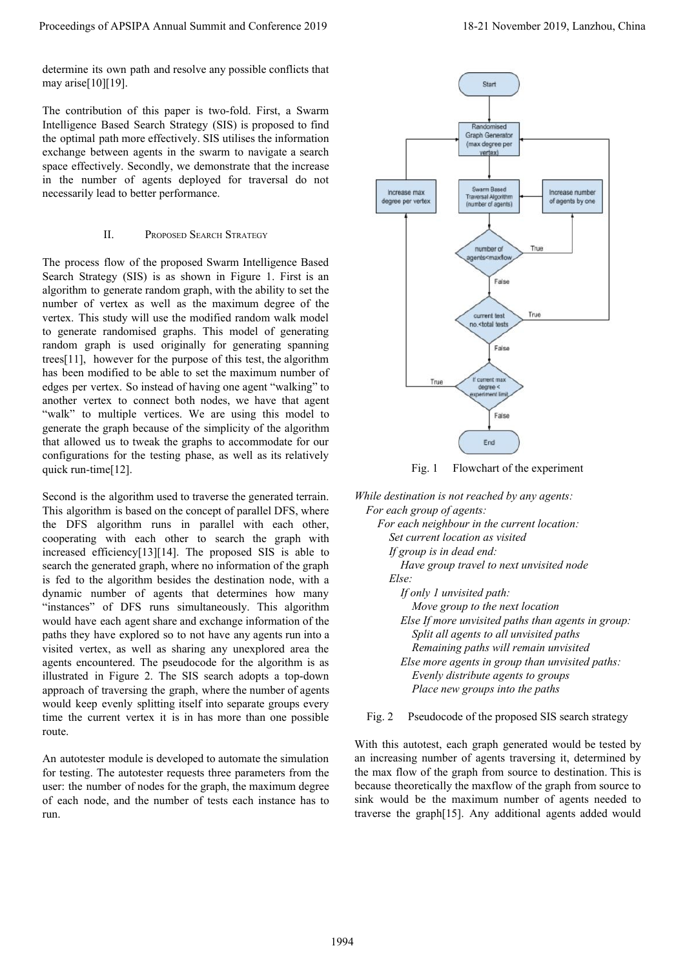determine its own path and resolve any possible conflicts that may arise $[10]$ [19].

The contribution of this paper is two-fold. First, a Swarm Intelligence Based Search Strategy (SIS) is proposed to find the optimal path more effectively. SIS utilises the information exchange between agents in the swarm to navigate a search space effectively. Secondly, we demonstrate that the increase in the number of agents deployed for traversal do not necessarily lead to better performance.

#### II. PROPOSED SEARCH STRATEGY

The process flow of the proposed Swarm Intelligence Based Search Strategy (SIS) is as shown in Figure 1. First is an algorithm to generate random graph, with the ability to set the number of vertex as well as the maximum degree of the vertex. This study will use the modified random walk model to generate randomised graphs. This model of generating random graph is used originally for generating spanning trees[11], however for the purpose of this test, the algorithm has been modified to be able to set the maximum number of edges per vertex. So instead of having one agent "walking" to another vertex to connect both nodes, we have that agent "walk" to multiple vertices. We are using this model to generate the graph because of the simplicity of the algorithm that allowed us to tweak the graphs to accommodate for our configurations for the testing phase, as well as its relatively quick run-time[12].

Second is the algorithm used to traverse the generated terrain. This algorithm is based on the concept of parallel DFS, where the DFS algorithm runs in parallel with each other, cooperating with each other to search the graph with increased efficiency[13][14]. The proposed SIS is able to search the generated graph, where no information of the graph is fed to the algorithm besides the destination node, with a dynamic number of agents that determines how many "instances" of DFS runs simultaneously. This algorithm would have each agent share and exchange information of the paths they have explored so to not have any agents run into a visited vertex, as well as sharing any unexplored area the agents encountered. The pseudocode for the algorithm is as illustrated in Figure 2. The SIS search adopts a top-down approach of traversing the graph, where the number of agents would keep evenly splitting itself into separate groups every time the current vertex it is in has more than one possible route.

An autotester module is developed to automate the simulation for testing. The autotester requests three parameters from the user: the number of nodes for the graph, the maximum degree of each node, and the number of tests each instance has to run.





*While destination is not reached by any agents: For each group of agents:*

 *For each neighbour in the current location: Set current location as visited If group is in dead end: Have group travel to next unvisited node Else: If only 1 unvisited path: Move group to the next location Else If more unvisited paths than agents in group: Split all agents to all unvisited paths Remaining paths will remain unvisited Else more agents in group than unvisited paths: Evenly distribute agents to groups Place new groups into the paths*

Fig. 2 Pseudocode of the proposed SIS search strategy

With this autotest, each graph generated would be tested by an increasing number of agents traversing it, determined by the max flow of the graph from source to destination. This is because theoretically the maxflow of the graph from source to sink would be the maximum number of agents needed to traverse the graph[15]. Any additional agents added would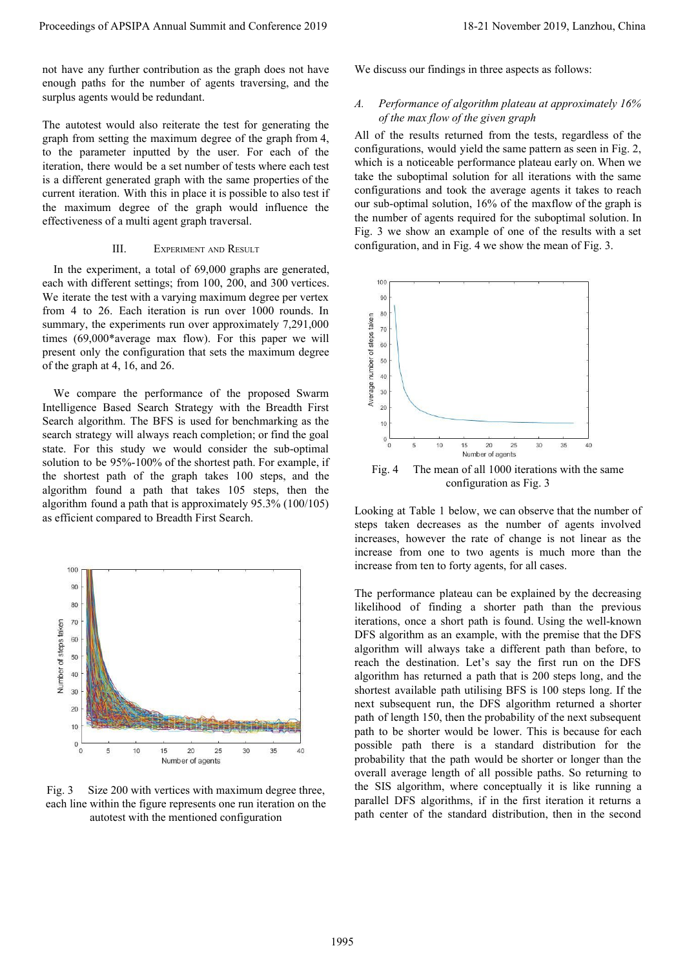not have any further contribution as the graph does not have enough paths for the number of agents traversing, and the surplus agents would be redundant.

The autotest would also reiterate the test for generating the graph from setting the maximum degree of the graph from 4, to the parameter inputted by the user. For each of the iteration, there would be a set number of tests where each test is a different generated graph with the same properties of the current iteration. With this in place it is possible to also test if the maximum degree of the graph would influence the effectiveness of a multi agent graph traversal.

#### III. EXPERIMENT AND RESULT

In the experiment, a total of 69,000 graphs are generated, each with different settings; from 100, 200, and 300 vertices. We iterate the test with a varying maximum degree per vertex from 4 to 26. Each iteration is run over 1000 rounds. In summary, the experiments run over approximately 7,291,000 times (69,000\*average max flow). For this paper we will present only the configuration that sets the maximum degree of the graph at 4, 16, and 26.

We compare the performance of the proposed Swarm Intelligence Based Search Strategy with the Breadth First Search algorithm. The BFS is used for benchmarking as the search strategy will always reach completion; or find the goal state. For this study we would consider the sub-optimal solution to be 95%-100% of the shortest path. For example, if the shortest path of the graph takes 100 steps, and the algorithm found a path that takes 105 steps, then the algorithm found a path that is approximately 95.3% (100/105) as efficient compared to Breadth First Search.



Fig. 3 Size 200 with vertices with maximum degree three, each line within the figure represents one run iteration on the autotest with the mentioned configuration

We discuss our findings in three aspects as follows:

#### *A. Performance of algorithm plateau at approximately 16% of the max flow of the given graph*

All of the results returned from the tests, regardless of the configurations, would yield the same pattern as seen in Fig. 2, which is a noticeable performance plateau early on. When we take the suboptimal solution for all iterations with the same configurations and took the average agents it takes to reach our sub-optimal solution, 16% of the maxflow of the graph is the number of agents required for the suboptimal solution. In Fig. 3 we show an example of one of the results with a set configuration, and in Fig. 4 we show the mean of Fig. 3.



configuration as Fig. 3

Looking at Table 1 below, we can observe that the number of steps taken decreases as the number of agents involved increases, however the rate of change is not linear as the increase from one to two agents is much more than the increase from ten to forty agents, for all cases.

The performance plateau can be explained by the decreasing likelihood of finding a shorter path than the previous iterations, once a short path is found. Using the well-known DFS algorithm as an example, with the premise that the DFS algorithm will always take a different path than before, to reach the destination. Let's say the first run on the DFS algorithm has returned a path that is 200 steps long, and the shortest available path utilising BFS is 100 steps long. If the next subsequent run, the DFS algorithm returned a shorter path of length 150, then the probability of the next subsequent path to be shorter would be lower. This is because for each possible path there is a standard distribution for the probability that the path would be shorter or longer than the overall average length of all possible paths. So returning to the SIS algorithm, where conceptually it is like running a parallel DFS algorithms, if in the first iteration it returns a path center of the standard distribution, then in the second Proceeding of APSIPA Annual Summit at Conference 2019<br>
notice produces the Conference 2019 18-21 November 2019, Lanzhou, China 1995<br>
annual Summit and Summit and Summit and Summit and Summit and Summit and Summit and Summ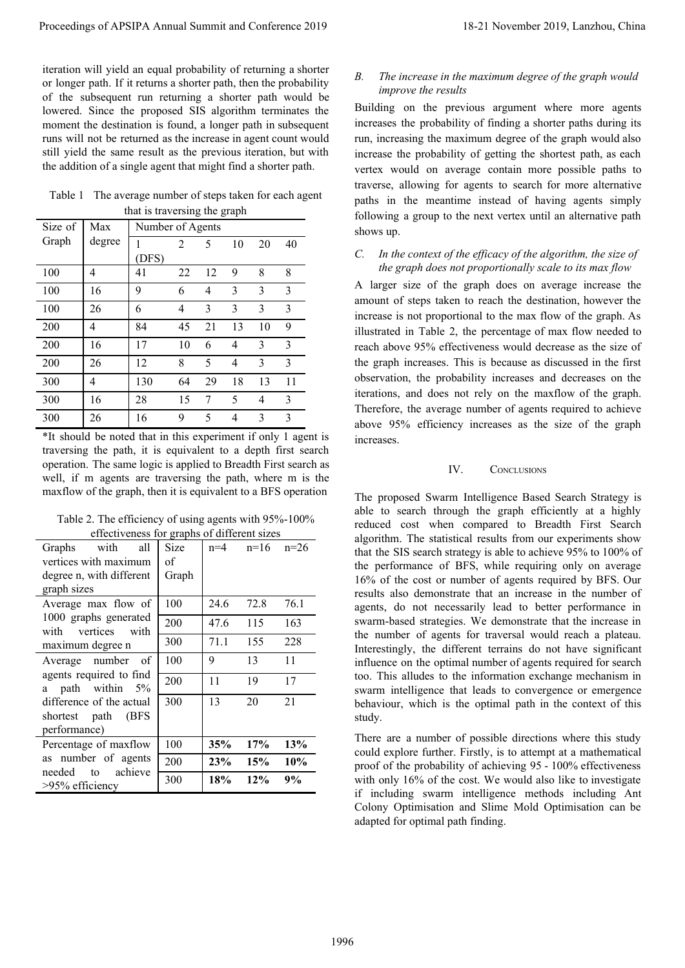Table 1 The average number of steps taken for each agent that is traversing the graph

| Size of | Max    | Number of Agents |                |    |    |    |    |
|---------|--------|------------------|----------------|----|----|----|----|
| Graph   | degree |                  | $\overline{c}$ | 5  | 10 | 20 | 40 |
|         |        | (DFS)            |                |    |    |    |    |
| 100     | 4      | 41               | 22             | 12 | 9  | 8  | 8  |
| 100     | 16     | 9                | 6              | 4  | 3  | 3  | 3  |
| 100     | 26     | 6                | 4              | 3  | 3  | 3  | 3  |
| 200     | 4      | 84               | 45             | 21 | 13 | 10 | 9  |
| 200     | 16     | 17               | 10             | 6  | 4  | 3  | 3  |
| 200     | 26     | 12               | 8              | 5  | 4  | 3  | 3  |
| 300     | 4      | 130              | 64             | 29 | 18 | 13 | 11 |
| 300     | 16     | 28               | 15             | 7  | 5  | 4  | 3  |
| 300     | 26     | 16               | 9              | 5  | 4  | 3  | 3  |

| Table 2. The efficiency of using agents with 95%-100% |
|-------------------------------------------------------|
| effectiveness for graphs of different sizes           |

|                               |                                                                                                                                                                                                                                                 |                       |                                                                                                       |                                          |                                          | Proceedings of APSIPA Annual Summit and Conference 2019                                                                                                                                                                                                                                                                                                                                                                                                            | 18-21 November 2019, Lanzhou, China                                                                                                                                                                                                                                                                                                                                                                                                                                                                                                                                                                                                                                                                                                                                                                                                                                                                                    |
|-------------------------------|-------------------------------------------------------------------------------------------------------------------------------------------------------------------------------------------------------------------------------------------------|-----------------------|-------------------------------------------------------------------------------------------------------|------------------------------------------|------------------------------------------|--------------------------------------------------------------------------------------------------------------------------------------------------------------------------------------------------------------------------------------------------------------------------------------------------------------------------------------------------------------------------------------------------------------------------------------------------------------------|------------------------------------------------------------------------------------------------------------------------------------------------------------------------------------------------------------------------------------------------------------------------------------------------------------------------------------------------------------------------------------------------------------------------------------------------------------------------------------------------------------------------------------------------------------------------------------------------------------------------------------------------------------------------------------------------------------------------------------------------------------------------------------------------------------------------------------------------------------------------------------------------------------------------|
|                               | the addition of a single agent that might find a shorter path.                                                                                                                                                                                  |                       |                                                                                                       |                                          |                                          | iteration will yield an equal probability of returning a shorter<br>or longer path. If it returns a shorter path, then the probability<br>of the subsequent run returning a shorter path would be<br>lowered. Since the proposed SIS algorithm terminates the<br>moment the destination is found, a longer path in subsequent<br>runs will not be returned as the increase in agent count would<br>still yield the same result as the previous iteration, but with | The increase in the maximum degree of the graph would<br>В.<br>improve the results<br>Building on the previous argument where more agents<br>increases the probability of finding a shorter paths during its<br>run, increasing the maximum degree of the graph would also<br>increase the probability of getting the shortest path, as each<br>vertex would on average contain more possible paths to                                                                                                                                                                                                                                                                                                                                                                                                                                                                                                                 |
|                               |                                                                                                                                                                                                                                                 |                       | that is traversing the graph                                                                          |                                          |                                          | Table 1 The average number of steps taken for each agent                                                                                                                                                                                                                                                                                                                                                                                                           | traverse, allowing for agents to search for more alternative<br>paths in the meantime instead of having agents simply<br>following a group to the next vertex until an alternative path                                                                                                                                                                                                                                                                                                                                                                                                                                                                                                                                                                                                                                                                                                                                |
| Size of<br>Graph              | Max<br>degree                                                                                                                                                                                                                                   |                       | Number of Agents<br>10                                                                                |                                          |                                          |                                                                                                                                                                                                                                                                                                                                                                                                                                                                    | shows up.                                                                                                                                                                                                                                                                                                                                                                                                                                                                                                                                                                                                                                                                                                                                                                                                                                                                                                              |
|                               |                                                                                                                                                                                                                                                 | $\mathbf{1}$<br>(DFS) | $\overline{2}$                                                                                        | 5                                        | 20                                       | 40                                                                                                                                                                                                                                                                                                                                                                                                                                                                 | In the context of the efficacy of the algorithm, the size of<br>C.                                                                                                                                                                                                                                                                                                                                                                                                                                                                                                                                                                                                                                                                                                                                                                                                                                                     |
| 100                           | $\overline{4}$                                                                                                                                                                                                                                  | 41                    | 22                                                                                                    | $\overline{9}$<br>12                     | 8                                        | 8                                                                                                                                                                                                                                                                                                                                                                                                                                                                  | the graph does not proportionally scale to its max flow                                                                                                                                                                                                                                                                                                                                                                                                                                                                                                                                                                                                                                                                                                                                                                                                                                                                |
| 100                           | 16                                                                                                                                                                                                                                              | $\overline{9}$        | 6                                                                                                     | $\overline{4}$<br>3                      | 3                                        | $\overline{\mathbf{3}}$                                                                                                                                                                                                                                                                                                                                                                                                                                            | A larger size of the graph does on average increase the                                                                                                                                                                                                                                                                                                                                                                                                                                                                                                                                                                                                                                                                                                                                                                                                                                                                |
| 100                           | 26                                                                                                                                                                                                                                              | 6                     | $\overline{4}$                                                                                        | $\overline{\mathbf{3}}$<br>3             | $\overline{3}$                           | $\overline{3}$                                                                                                                                                                                                                                                                                                                                                                                                                                                     | amount of steps taken to reach the destination, however the                                                                                                                                                                                                                                                                                                                                                                                                                                                                                                                                                                                                                                                                                                                                                                                                                                                            |
| 200                           | $\overline{4}$                                                                                                                                                                                                                                  | 84                    | 45                                                                                                    | 21<br>13                                 | 10                                       | $\boldsymbol{9}$                                                                                                                                                                                                                                                                                                                                                                                                                                                   | increase is not proportional to the max flow of the graph. As<br>illustrated in Table 2, the percentage of max flow needed to                                                                                                                                                                                                                                                                                                                                                                                                                                                                                                                                                                                                                                                                                                                                                                                          |
| 200                           | 16                                                                                                                                                                                                                                              | 17                    | 10                                                                                                    | 6<br>$\overline{4}$                      | 3                                        | $\overline{\mathbf{3}}$                                                                                                                                                                                                                                                                                                                                                                                                                                            | reach above 95% effectiveness would decrease as the size of                                                                                                                                                                                                                                                                                                                                                                                                                                                                                                                                                                                                                                                                                                                                                                                                                                                            |
| 200                           | 26                                                                                                                                                                                                                                              | 12                    | 8                                                                                                     | 5<br>$\overline{4}$                      | 3                                        | $\overline{3}$                                                                                                                                                                                                                                                                                                                                                                                                                                                     | the graph increases. This is because as discussed in the first                                                                                                                                                                                                                                                                                                                                                                                                                                                                                                                                                                                                                                                                                                                                                                                                                                                         |
| 300                           | $\overline{4}$                                                                                                                                                                                                                                  | 130                   | 64                                                                                                    | 29<br>18                                 | 13                                       | 11                                                                                                                                                                                                                                                                                                                                                                                                                                                                 | observation, the probability increases and decreases on the                                                                                                                                                                                                                                                                                                                                                                                                                                                                                                                                                                                                                                                                                                                                                                                                                                                            |
| 300                           | 16                                                                                                                                                                                                                                              | 28                    | 15                                                                                                    | 5<br>$\overline{7}$                      | $\overline{4}$                           | $\overline{3}$                                                                                                                                                                                                                                                                                                                                                                                                                                                     | iterations, and does not rely on the maxflow of the graph.                                                                                                                                                                                                                                                                                                                                                                                                                                                                                                                                                                                                                                                                                                                                                                                                                                                             |
| 300                           | 26                                                                                                                                                                                                                                              | 16                    | 9                                                                                                     | 5<br>$\overline{4}$                      | $\overline{3}$                           | $\overline{3}$                                                                                                                                                                                                                                                                                                                                                                                                                                                     | Therefore, the average number of agents required to achieve<br>above 95% efficiency increases as the size of the graph                                                                                                                                                                                                                                                                                                                                                                                                                                                                                                                                                                                                                                                                                                                                                                                                 |
| Graphs<br>graph sizes<br>with | Table 2. The efficiency of using agents with 95%-100%<br>with<br>vertices with maximum<br>degree n, with different<br>Average max flow of<br>1000 graphs generated<br>vertices<br>maximum degree n<br>Average number<br>agents required to find | all<br>with<br>of     | effectiveness for graphs of different sizes<br>Size<br>of<br>Graph<br>100<br>200<br>300<br>100<br>200 | $n=4$<br>24.6<br>47.6<br>71.1<br>9<br>11 | $n=16$<br>72.8<br>115<br>155<br>13<br>19 | traversing the path, it is equivalent to a depth first search<br>operation. The same logic is applied to Breadth First search as<br>well, if m agents are traversing the path, where m is the<br>maxflow of the graph, then it is equivalent to a BFS operation<br>$n=26$<br>76.1<br>163<br>228<br>11<br>17                                                                                                                                                        | IV.<br><b>CONCLUSIONS</b><br>The proposed Swarm Intelligence Based Search Strategy is<br>able to search through the graph efficiently at a highly<br>reduced cost when compared to Breadth First Search<br>algorithm. The statistical results from our experiments show<br>that the SIS search strategy is able to achieve 95% to 100% of<br>the performance of BFS, while requiring only on average<br>16% of the cost or number of agents required by BFS. Our<br>results also demonstrate that an increase in the number of<br>agents, do not necessarily lead to better performance in<br>swarm-based strategies. We demonstrate that the increase in<br>the number of agents for traversal would reach a plateau.<br>Interestingly, the different terrains do not have significant<br>influence on the optimal number of agents required for search<br>too. This alludes to the information exchange mechanism in |
|                               | a path within 5%<br>difference of the actual                                                                                                                                                                                                    |                       | 300                                                                                                   | 13                                       | 20                                       | $\overline{21}$                                                                                                                                                                                                                                                                                                                                                                                                                                                    | swarm intelligence that leads to convergence or emergence                                                                                                                                                                                                                                                                                                                                                                                                                                                                                                                                                                                                                                                                                                                                                                                                                                                              |
|                               | shortest path (BFS                                                                                                                                                                                                                              |                       |                                                                                                       |                                          |                                          |                                                                                                                                                                                                                                                                                                                                                                                                                                                                    | behaviour, which is the optimal path in the context of this<br>study.                                                                                                                                                                                                                                                                                                                                                                                                                                                                                                                                                                                                                                                                                                                                                                                                                                                  |
| performance)                  |                                                                                                                                                                                                                                                 |                       |                                                                                                       |                                          |                                          |                                                                                                                                                                                                                                                                                                                                                                                                                                                                    | There are a number of possible directions where this study                                                                                                                                                                                                                                                                                                                                                                                                                                                                                                                                                                                                                                                                                                                                                                                                                                                             |
|                               | Percentage of maxflow<br>as number of agents                                                                                                                                                                                                    |                       | 100                                                                                                   | 35%                                      | 17%                                      | 13%                                                                                                                                                                                                                                                                                                                                                                                                                                                                | could explore further. Firstly, is to attempt at a mathematical                                                                                                                                                                                                                                                                                                                                                                                                                                                                                                                                                                                                                                                                                                                                                                                                                                                        |
| needed                        | to                                                                                                                                                                                                                                              | achieve               | 200                                                                                                   | 23%                                      | 15%                                      | $10\%$                                                                                                                                                                                                                                                                                                                                                                                                                                                             | proof of the probability of achieving 95 - 100% effectiveness                                                                                                                                                                                                                                                                                                                                                                                                                                                                                                                                                                                                                                                                                                                                                                                                                                                          |
| >95% efficiency               |                                                                                                                                                                                                                                                 |                       | 300                                                                                                   | 18%                                      | 12%                                      | $9\%$                                                                                                                                                                                                                                                                                                                                                                                                                                                              | with only 16% of the cost. We would also like to investigate<br>if including swarm intelligence methods including Ant<br>Colony Optimisation and Slime Mold Optimisation can be<br>adapted for optimal path finding.                                                                                                                                                                                                                                                                                                                                                                                                                                                                                                                                                                                                                                                                                                   |
|                               |                                                                                                                                                                                                                                                 |                       |                                                                                                       |                                          |                                          |                                                                                                                                                                                                                                                                                                                                                                                                                                                                    | 1996                                                                                                                                                                                                                                                                                                                                                                                                                                                                                                                                                                                                                                                                                                                                                                                                                                                                                                                   |

### *B. The increase in the maximum degree of the graph would improve the results*

## *C. In the context of the efficacy of the algorithm, the size of the graph does not proportionally scale to its max flow*

# IV. CONCLUSIONS